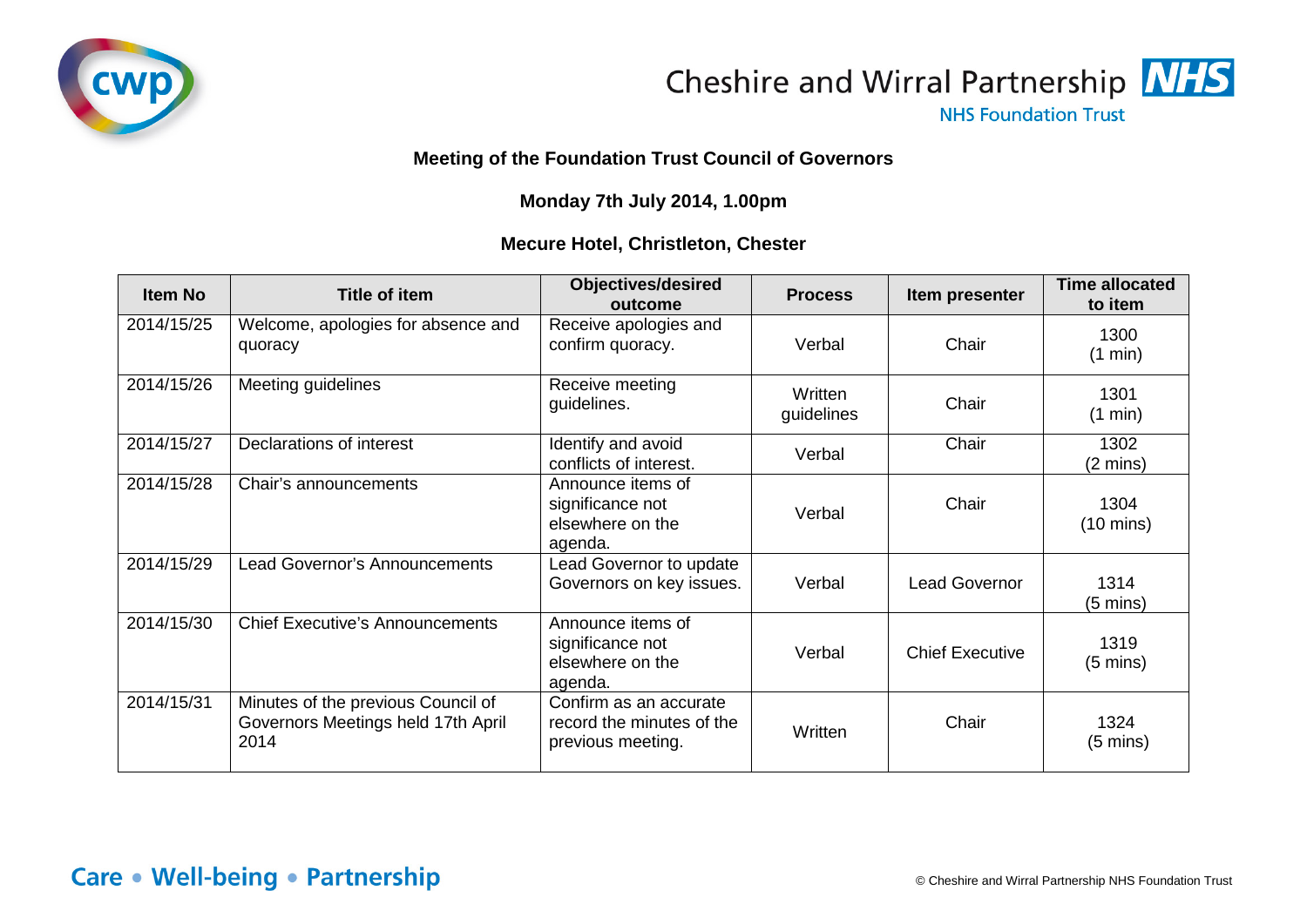



**NHS Foundation Trust** 

## **Meeting of the Foundation Trust Council of Governors**

## **Monday 7th July 2014, 1.00pm**

## **Mecure Hotel, Christleton, Chester**

| <b>Item No</b> | <b>Title of item</b>                                                             | <b>Objectives/desired</b><br>outcome                                     | <b>Process</b>        | Item presenter         | <b>Time allocated</b><br>to item |
|----------------|----------------------------------------------------------------------------------|--------------------------------------------------------------------------|-----------------------|------------------------|----------------------------------|
| 2014/15/25     | Welcome, apologies for absence and<br>quoracy                                    | Receive apologies and<br>confirm quoracy.                                | Verbal                | Chair                  | 1300<br>(1 min)                  |
| 2014/15/26     | Meeting guidelines                                                               | Receive meeting<br>guidelines.                                           | Written<br>guidelines | Chair                  | 1301<br>(1 min)                  |
| 2014/15/27     | Declarations of interest                                                         | Identify and avoid<br>conflicts of interest.                             | Verbal                | Chair                  | 1302<br>$(2 \text{ mins})$       |
| 2014/15/28     | Chair's announcements                                                            | Announce items of<br>significance not<br>elsewhere on the<br>agenda.     | Verbal                | Chair                  | 1304<br>$(10 \text{ mins})$      |
| 2014/15/29     | Lead Governor's Announcements                                                    | Lead Governor to update<br>Governors on key issues.                      | Verbal                | <b>Lead Governor</b>   | 1314<br>(5 mins)                 |
| 2014/15/30     | <b>Chief Executive's Announcements</b>                                           | Announce items of<br>significance not<br>elsewhere on the<br>agenda.     | Verbal                | <b>Chief Executive</b> | 1319<br>$(5 \text{ mins})$       |
| 2014/15/31     | Minutes of the previous Council of<br>Governors Meetings held 17th April<br>2014 | Confirm as an accurate<br>record the minutes of the<br>previous meeting. | Written               | Chair                  | 1324<br>$(5 \text{ mins})$       |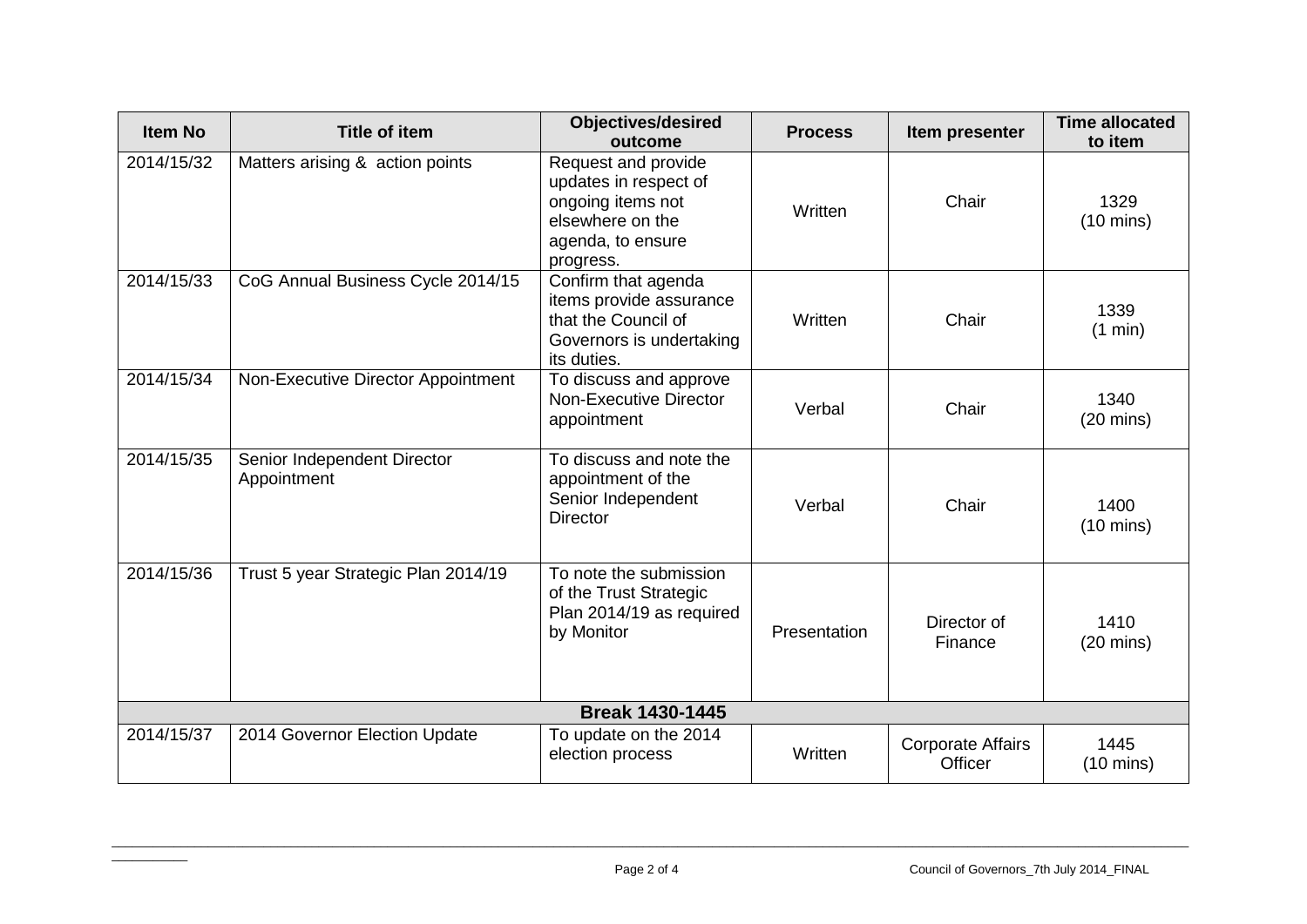| <b>Item No</b>         | <b>Title of item</b>                       | <b>Objectives/desired</b><br>outcome                                                                                    | <b>Process</b> | Item presenter                      | <b>Time allocated</b><br>to item |  |
|------------------------|--------------------------------------------|-------------------------------------------------------------------------------------------------------------------------|----------------|-------------------------------------|----------------------------------|--|
| 2014/15/32             | Matters arising & action points            | Request and provide<br>updates in respect of<br>ongoing items not<br>elsewhere on the<br>agenda, to ensure<br>progress. | Written        | Chair                               | 1329<br>$(10 \text{ mins})$      |  |
| 2014/15/33             | CoG Annual Business Cycle 2014/15          | Confirm that agenda<br>items provide assurance<br>that the Council of<br>Governors is undertaking<br>its duties.        | Written        | Chair                               | 1339<br>(1 min)                  |  |
| 2014/15/34             | Non-Executive Director Appointment         | To discuss and approve<br><b>Non-Executive Director</b><br>appointment                                                  | Verbal         | Chair                               | 1340<br>$(20 \text{ mins})$      |  |
| 2014/15/35             | Senior Independent Director<br>Appointment | To discuss and note the<br>appointment of the<br>Senior Independent<br><b>Director</b>                                  | Verbal         | Chair                               | 1400<br>$(10 \text{ mins})$      |  |
| 2014/15/36             | Trust 5 year Strategic Plan 2014/19        | To note the submission<br>of the Trust Strategic<br>Plan 2014/19 as required<br>by Monitor                              | Presentation   | Director of<br>Finance              | 1410<br>$(20 \text{ mins})$      |  |
| <b>Break 1430-1445</b> |                                            |                                                                                                                         |                |                                     |                                  |  |
| 2014/15/37             | 2014 Governor Election Update              | To update on the 2014<br>election process                                                                               | Written        | <b>Corporate Affairs</b><br>Officer | 1445<br>$(10 \text{ mins})$      |  |

 $\overline{\phantom{a}}$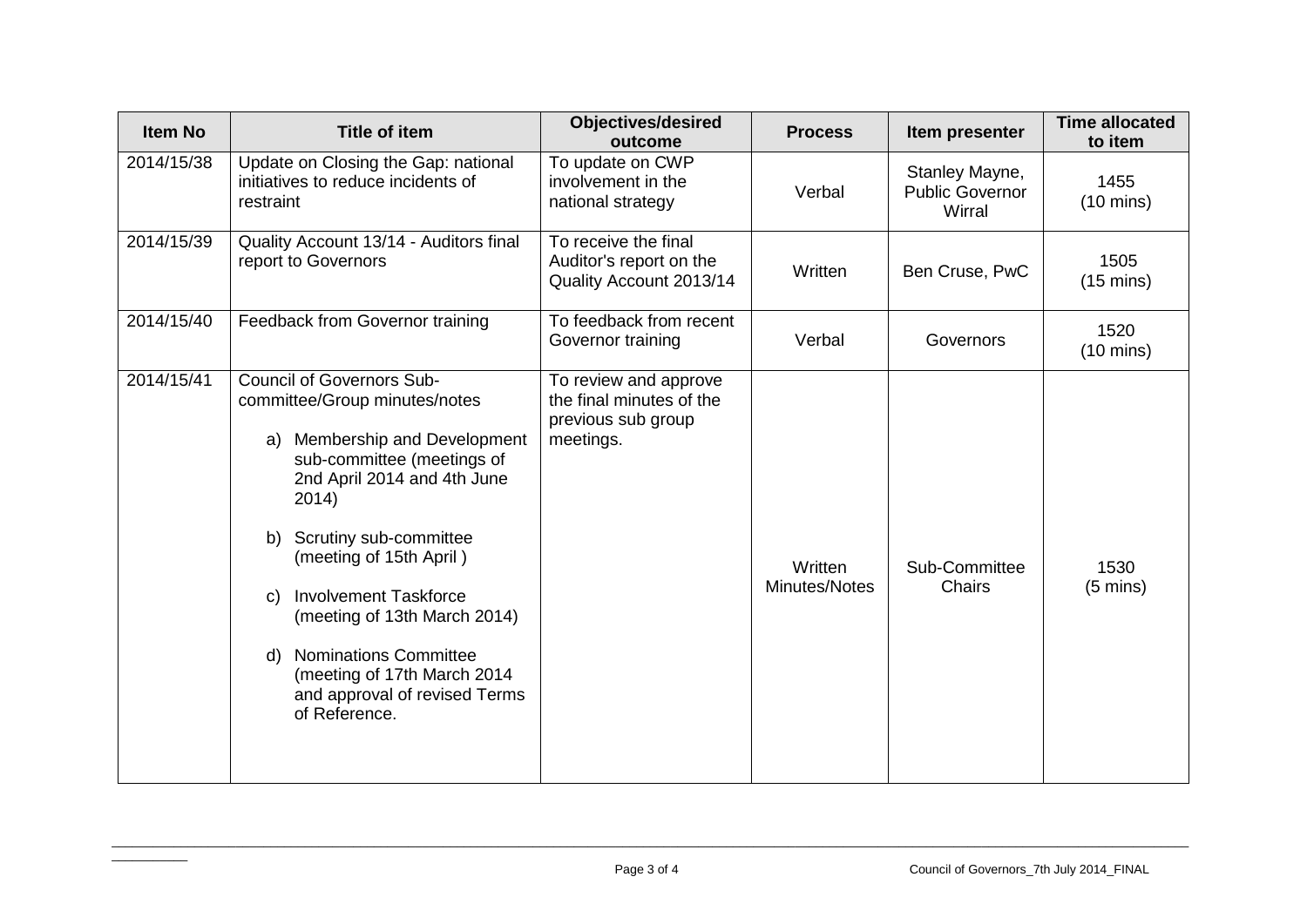| <b>Item No</b> | <b>Title of item</b>                                                                                                                                                                                                                                                                                                                                                                                                                | <b>Objectives/desired</b><br>outcome                                                 | <b>Process</b>           | Item presenter                                     | <b>Time allocated</b><br>to item |
|----------------|-------------------------------------------------------------------------------------------------------------------------------------------------------------------------------------------------------------------------------------------------------------------------------------------------------------------------------------------------------------------------------------------------------------------------------------|--------------------------------------------------------------------------------------|--------------------------|----------------------------------------------------|----------------------------------|
| 2014/15/38     | Update on Closing the Gap: national<br>initiatives to reduce incidents of<br>restraint                                                                                                                                                                                                                                                                                                                                              | To update on CWP<br>involvement in the<br>national strategy                          | Verbal                   | Stanley Mayne,<br><b>Public Governor</b><br>Wirral | 1455<br>$(10 \text{ mins})$      |
| 2014/15/39     | Quality Account 13/14 - Auditors final<br>report to Governors                                                                                                                                                                                                                                                                                                                                                                       | To receive the final<br>Auditor's report on the<br>Quality Account 2013/14           | Written                  | Ben Cruse, PwC                                     | 1505<br>$(15 \text{ mins})$      |
| 2014/15/40     | Feedback from Governor training                                                                                                                                                                                                                                                                                                                                                                                                     | To feedback from recent<br>Governor training                                         | Verbal                   | Governors                                          | 1520<br>$(10 \text{ mins})$      |
| 2014/15/41     | <b>Council of Governors Sub-</b><br>committee/Group minutes/notes<br>Membership and Development<br>a)<br>sub-committee (meetings of<br>2nd April 2014 and 4th June<br>2014)<br>Scrutiny sub-committee<br>b)<br>(meeting of 15th April)<br><b>Involvement Taskforce</b><br>C)<br>(meeting of 13th March 2014)<br><b>Nominations Committee</b><br>d)<br>(meeting of 17th March 2014<br>and approval of revised Terms<br>of Reference. | To review and approve<br>the final minutes of the<br>previous sub group<br>meetings. | Written<br>Minutes/Notes | Sub-Committee<br>Chairs                            | 1530<br>$(5 \text{ mins})$       |

 $\overline{\phantom{a}}$  , where  $\overline{\phantom{a}}$